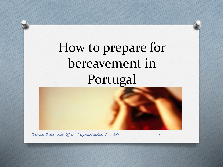# How to prepare for bereavement in Portugal

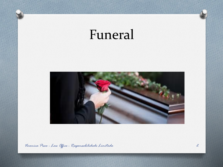## Funeral

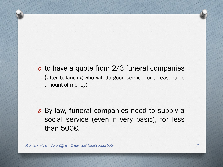*O* to have a quote from 2/3 funeral companies (after balancing who will do good service for a reasonable amount of money);

*O* By law, funeral companies need to supply a social service (even if very basic), for less than 500€.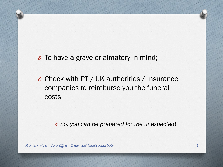*O* To have a grave or almatory in mind;

*O* Check with PT / UK authorities / Insurance companies to reimburse you the funeral costs.

*O So, you can be prepared for the unexpected*!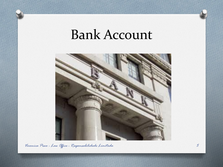### Bank Account

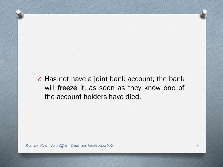*O* Has not have a joint bank account; the bank will freeze it, as soon as they know one of the account holders have died.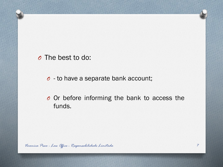#### *O* The best to do:

#### *O* - to have a separate bank account;

*O* Or before informing the bank to access the funds.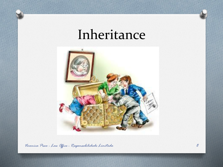### Inheritance

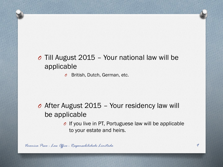### *O* Till August 2015 – Your national law will be applicable

*O* British, Dutch, German, etc.

#### *O* After August 2015 – Your residency law will be applicable

*O* If you live in PT, Portuguese law will be applicable to your estate and heirs.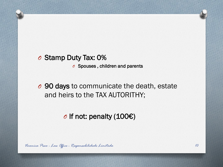#### *O* Stamp Duty Tax: 0%

*O* Spouses , children and parents

*O* 90 days to communicate the death, estate and heirs to the TAX AUTORITHY;

*O* If not: penalty (100€)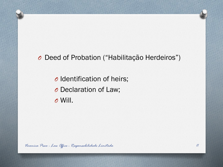#### *O* Deed of Probation ("Habilitação Herdeiros")

*O* Identification of heirs;

*O* Declaration of Law;

*O* Will.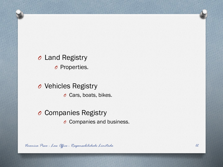*O* Land Registry *O* Properties.

*O* Vehicles Registry *O* Cars, boats, bikes.

#### *O* Companies Registry

*O* Companies and business.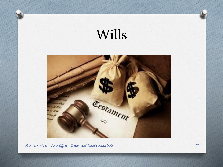

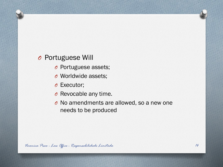#### *O* Portuguese Will

- *O* Portuguese assets;
- *O* Worldwide assets;
- *O* Executor;
- *O* Revocable any time.
- *O* No amendments are allowed, so a new one needs to be produced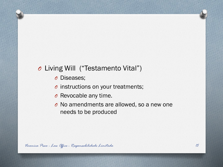#### *O* Living Will ("Testamento Vital")

*O* Diseases;

- *O* instructions on your treatments;
- *O* Revocable any time.
- *O* No amendments are allowed, so a new one needs to be produced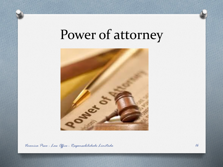### Power of attorney

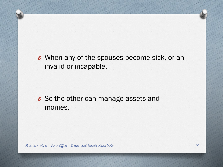#### *O* When any of the spouses become sick, or an invalid or incapable,

*O* So the other can manage assets and monies,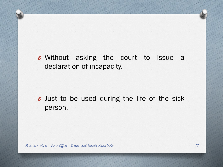*O* Without asking the court to issue a declaration of incapacity.

*O* Just to be used during the life of the sick person.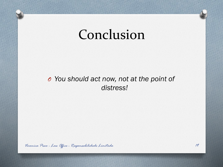### Conclusion

#### *O You should act now, not at the point of distress!*